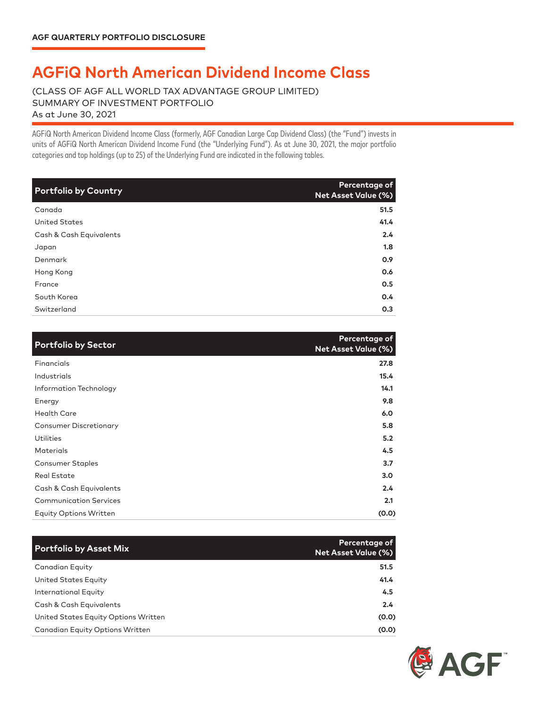## **AGFiQ North American Dividend Income Class**

(CLASS OF AGF ALL WORLD TAX ADVANTAGE GROUP LIMITED) SUMMARY OF INVESTMENT PORTFOLIO As at June 30, 2021

AGFiQ North American Dividend Income Class (formerly, AGF Canadian Large Cap Dividend Class) (the "Fund") invests in units of AGFiQ North American Dividend Income Fund (the "Underlying Fund"). As at June 30, 2021, the major portfolio categories and top holdings (up to 25) of the Underlying Fund are indicated in the following tables.

| <b>Portfolio by Country</b> | Percentage of<br><b>Net Asset Value (%)</b> |
|-----------------------------|---------------------------------------------|
| Canada                      | 51.5                                        |
| <b>United States</b>        | 41.4                                        |
| Cash & Cash Equivalents     | 2.4                                         |
| Japan                       | 1.8                                         |
| Denmark                     | 0.9                                         |
| Hong Kong                   | 0.6                                         |
| France                      | 0.5                                         |
| South Korea                 | 0.4                                         |
| Switzerland                 | 0.3                                         |

| <b>Portfolio by Sector</b>    | Percentage of<br>Net Asset Value (%) |
|-------------------------------|--------------------------------------|
| Financials                    | 27.8                                 |
| Industrials                   | 15.4                                 |
| Information Technology        | 14.1                                 |
| Energy                        | 9.8                                  |
| <b>Health Care</b>            | 6.0                                  |
| <b>Consumer Discretionary</b> | 5.8                                  |
| <b>Utilities</b>              | 5.2                                  |
| <b>Materials</b>              | 4.5                                  |
| <b>Consumer Staples</b>       | 3.7                                  |
| <b>Real Estate</b>            | 3.0                                  |
| Cash & Cash Equivalents       | 2.4                                  |
| <b>Communication Services</b> | 2.1                                  |
| <b>Equity Options Written</b> | (0.0)                                |

| <b>Portfolio by Asset Mix</b>          | Percentage of<br><b>Net Asset Value (%)</b> |
|----------------------------------------|---------------------------------------------|
| Canadian Equity                        | 51.5                                        |
| United States Equity                   | 41.4                                        |
| International Equity                   | 4.5                                         |
| Cash & Cash Equivalents                | $2.4^{\circ}$                               |
| United States Equity Options Written   | (0.0)                                       |
| <b>Canadian Equity Options Written</b> | (0.0)                                       |

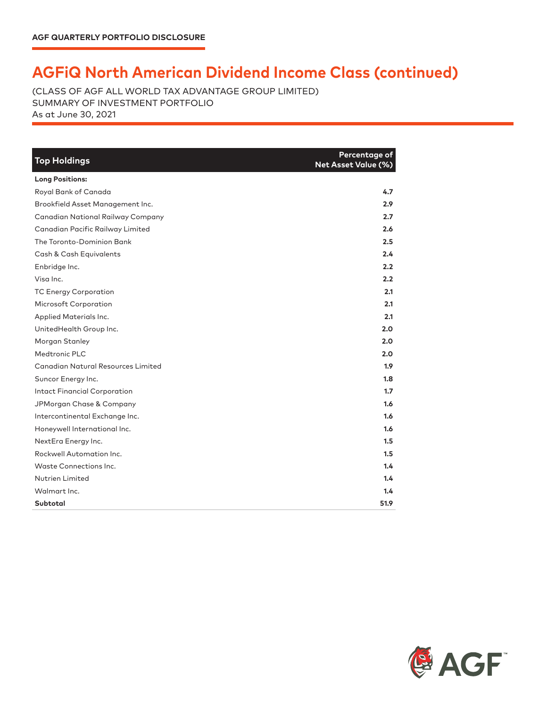## **AGFiQ North American Dividend Income Class (continued)**

(CLASS OF AGF ALL WORLD TAX ADVANTAGE GROUP LIMITED) SUMMARY OF INVESTMENT PORTFOLIO As at June 30, 2021

| <b>Top Holdings</b>                 | Percentage of<br><b>Net Asset Value (%)</b> |
|-------------------------------------|---------------------------------------------|
| <b>Long Positions:</b>              |                                             |
| Royal Bank of Canada                | 4.7                                         |
| Brookfield Asset Management Inc.    | 2.9                                         |
| Canadian National Railway Company   | 2.7                                         |
| Canadian Pacific Railway Limited    | 2.6                                         |
| The Toronto-Dominion Bank           | 2.5                                         |
| Cash & Cash Equivalents             | 2.4                                         |
| Enbridge Inc.                       | 2.2                                         |
| Visa Inc.                           | 2.2                                         |
| <b>TC Energy Corporation</b>        | 2.1                                         |
| Microsoft Corporation               | 2.1                                         |
| Applied Materials Inc.              | 2.1                                         |
| UnitedHealth Group Inc.             | 2.0                                         |
| Morgan Stanley                      | 2.0                                         |
| Medtronic PLC                       | 2.0                                         |
| Canadian Natural Resources Limited  | 1.9                                         |
| Suncor Energy Inc.                  | 1.8                                         |
| <b>Intact Financial Corporation</b> | 1.7                                         |
| JPMorgan Chase & Company            | 1.6                                         |
| Intercontinental Exchange Inc.      | 1.6                                         |
| Honeywell International Inc.        | 1.6                                         |
| NextEra Energy Inc.                 | 1.5                                         |
| Rockwell Automation Inc.            | 1.5                                         |
| Waste Connections Inc.              | 1.4                                         |
| Nutrien Limited                     | 1.4                                         |
| Walmart Inc.                        | 1.4                                         |
| Subtotal                            | 51.9                                        |